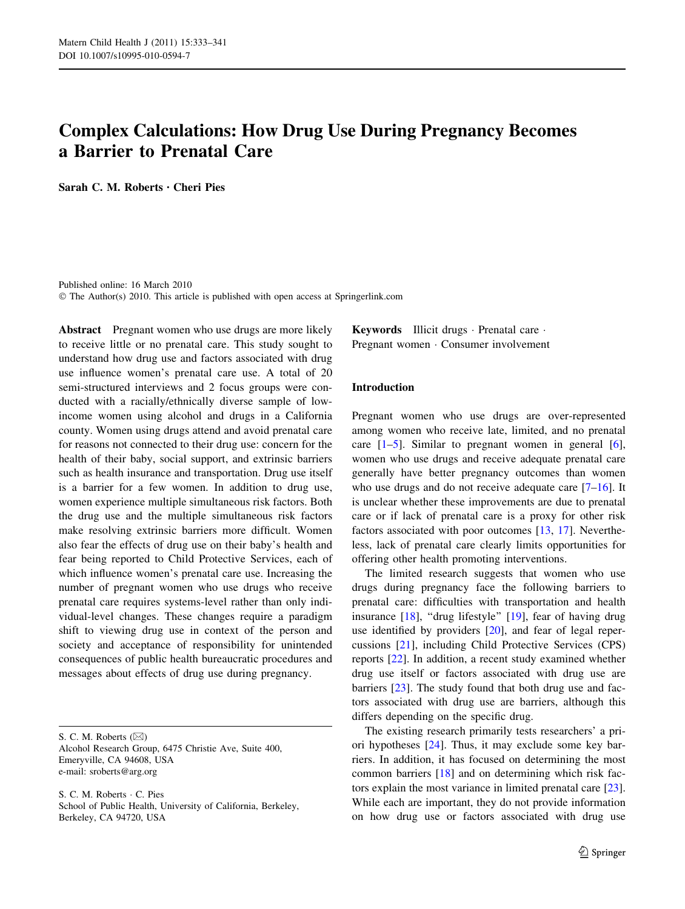# Complex Calculations: How Drug Use During Pregnancy Becomes a Barrier to Prenatal Care

Sarah C. M. Roberts • Cheri Pies

Published online: 16 March 2010 © The Author(s) 2010. This article is published with open access at Springerlink.com

Abstract Pregnant women who use drugs are more likely to receive little or no prenatal care. This study sought to understand how drug use and factors associated with drug use influence women's prenatal care use. A total of 20 semi-structured interviews and 2 focus groups were conducted with a racially/ethnically diverse sample of lowincome women using alcohol and drugs in a California county. Women using drugs attend and avoid prenatal care for reasons not connected to their drug use: concern for the health of their baby, social support, and extrinsic barriers such as health insurance and transportation. Drug use itself is a barrier for a few women. In addition to drug use, women experience multiple simultaneous risk factors. Both the drug use and the multiple simultaneous risk factors make resolving extrinsic barriers more difficult. Women also fear the effects of drug use on their baby's health and fear being reported to Child Protective Services, each of which influence women's prenatal care use. Increasing the number of pregnant women who use drugs who receive prenatal care requires systems-level rather than only individual-level changes. These changes require a paradigm shift to viewing drug use in context of the person and society and acceptance of responsibility for unintended consequences of public health bureaucratic procedures and messages about effects of drug use during pregnancy.

S. C. M. Roberts  $(\boxtimes)$ Alcohol Research Group, 6475 Christie Ave, Suite 400, Emeryville, CA 94608, USA e-mail: sroberts@arg.org

S. C. M. Roberts - C. Pies School of Public Health, University of California, Berkeley, Berkeley, CA 94720, USA

Keywords Illicit drugs · Prenatal care · Pregnant women - Consumer involvement

## Introduction

Pregnant women who use drugs are over-represented among women who receive late, limited, and no prenatal care  $[1-5]$ . Similar to pregnant women in general  $[6]$  $[6]$ , women who use drugs and receive adequate prenatal care generally have better pregnancy outcomes than women who use drugs and do not receive adequate care  $[7-16]$ . It is unclear whether these improvements are due to prenatal care or if lack of prenatal care is a proxy for other risk factors associated with poor outcomes [\[13](#page-7-0), [17](#page-7-0)]. Nevertheless, lack of prenatal care clearly limits opportunities for offering other health promoting interventions.

The limited research suggests that women who use drugs during pregnancy face the following barriers to prenatal care: difficulties with transportation and health insurance [[18\]](#page-7-0), ''drug lifestyle'' [[19\]](#page-7-0), fear of having drug use identified by providers [\[20](#page-7-0)], and fear of legal repercussions [[21\]](#page-7-0), including Child Protective Services (CPS) reports [\[22](#page-7-0)]. In addition, a recent study examined whether drug use itself or factors associated with drug use are barriers [\[23](#page-7-0)]. The study found that both drug use and factors associated with drug use are barriers, although this differs depending on the specific drug.

The existing research primarily tests researchers' a priori hypotheses [[24\]](#page-7-0). Thus, it may exclude some key barriers. In addition, it has focused on determining the most common barriers [\[18](#page-7-0)] and on determining which risk factors explain the most variance in limited prenatal care [\[23](#page-7-0)]. While each are important, they do not provide information on how drug use or factors associated with drug use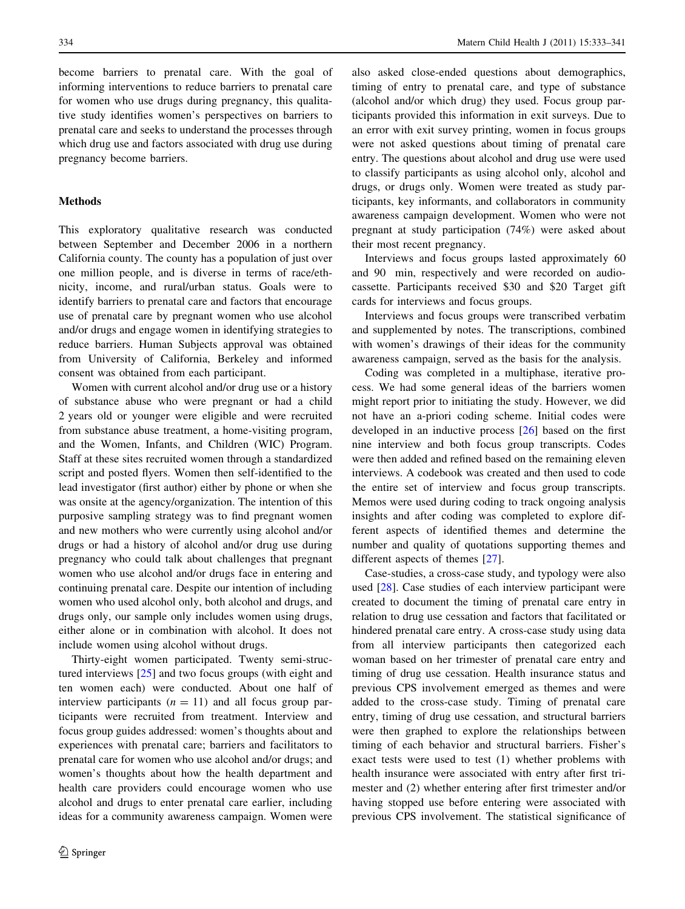become barriers to prenatal care. With the goal of informing interventions to reduce barriers to prenatal care for women who use drugs during pregnancy, this qualitative study identifies women's perspectives on barriers to prenatal care and seeks to understand the processes through which drug use and factors associated with drug use during pregnancy become barriers.

# Methods

This exploratory qualitative research was conducted between September and December 2006 in a northern California county. The county has a population of just over one million people, and is diverse in terms of race/ethnicity, income, and rural/urban status. Goals were to identify barriers to prenatal care and factors that encourage use of prenatal care by pregnant women who use alcohol and/or drugs and engage women in identifying strategies to reduce barriers. Human Subjects approval was obtained from University of California, Berkeley and informed consent was obtained from each participant.

Women with current alcohol and/or drug use or a history of substance abuse who were pregnant or had a child 2 years old or younger were eligible and were recruited from substance abuse treatment, a home-visiting program, and the Women, Infants, and Children (WIC) Program. Staff at these sites recruited women through a standardized script and posted flyers. Women then self-identified to the lead investigator (first author) either by phone or when she was onsite at the agency/organization. The intention of this purposive sampling strategy was to find pregnant women and new mothers who were currently using alcohol and/or drugs or had a history of alcohol and/or drug use during pregnancy who could talk about challenges that pregnant women who use alcohol and/or drugs face in entering and continuing prenatal care. Despite our intention of including women who used alcohol only, both alcohol and drugs, and drugs only, our sample only includes women using drugs, either alone or in combination with alcohol. It does not include women using alcohol without drugs.

Thirty-eight women participated. Twenty semi-structured interviews [\[25](#page-7-0)] and two focus groups (with eight and ten women each) were conducted. About one half of interview participants  $(n = 11)$  and all focus group participants were recruited from treatment. Interview and focus group guides addressed: women's thoughts about and experiences with prenatal care; barriers and facilitators to prenatal care for women who use alcohol and/or drugs; and women's thoughts about how the health department and health care providers could encourage women who use alcohol and drugs to enter prenatal care earlier, including ideas for a community awareness campaign. Women were

also asked close-ended questions about demographics, timing of entry to prenatal care, and type of substance (alcohol and/or which drug) they used. Focus group participants provided this information in exit surveys. Due to an error with exit survey printing, women in focus groups were not asked questions about timing of prenatal care entry. The questions about alcohol and drug use were used to classify participants as using alcohol only, alcohol and drugs, or drugs only. Women were treated as study participants, key informants, and collaborators in community awareness campaign development. Women who were not pregnant at study participation (74%) were asked about their most recent pregnancy.

Interviews and focus groups lasted approximately 60 and 90 min, respectively and were recorded on audiocassette. Participants received \$30 and \$20 Target gift cards for interviews and focus groups.

Interviews and focus groups were transcribed verbatim and supplemented by notes. The transcriptions, combined with women's drawings of their ideas for the community awareness campaign, served as the basis for the analysis.

Coding was completed in a multiphase, iterative process. We had some general ideas of the barriers women might report prior to initiating the study. However, we did not have an a-priori coding scheme. Initial codes were developed in an inductive process [[26\]](#page-7-0) based on the first nine interview and both focus group transcripts. Codes were then added and refined based on the remaining eleven interviews. A codebook was created and then used to code the entire set of interview and focus group transcripts. Memos were used during coding to track ongoing analysis insights and after coding was completed to explore different aspects of identified themes and determine the number and quality of quotations supporting themes and different aspects of themes [[27\]](#page-7-0).

Case-studies, a cross-case study, and typology were also used [\[28](#page-7-0)]. Case studies of each interview participant were created to document the timing of prenatal care entry in relation to drug use cessation and factors that facilitated or hindered prenatal care entry. A cross-case study using data from all interview participants then categorized each woman based on her trimester of prenatal care entry and timing of drug use cessation. Health insurance status and previous CPS involvement emerged as themes and were added to the cross-case study. Timing of prenatal care entry, timing of drug use cessation, and structural barriers were then graphed to explore the relationships between timing of each behavior and structural barriers. Fisher's exact tests were used to test (1) whether problems with health insurance were associated with entry after first trimester and (2) whether entering after first trimester and/or having stopped use before entering were associated with previous CPS involvement. The statistical significance of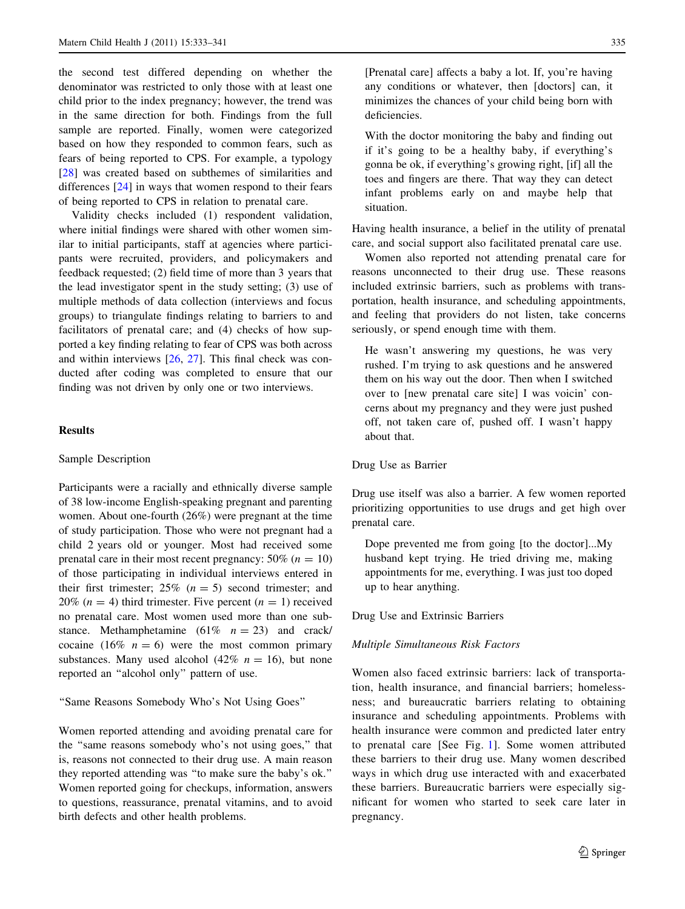the second test differed depending on whether the denominator was restricted to only those with at least one child prior to the index pregnancy; however, the trend was in the same direction for both. Findings from the full sample are reported. Finally, women were categorized based on how they responded to common fears, such as fears of being reported to CPS. For example, a typology [\[28](#page-7-0)] was created based on subthemes of similarities and differences [[24\]](#page-7-0) in ways that women respond to their fears of being reported to CPS in relation to prenatal care.

Validity checks included (1) respondent validation, where initial findings were shared with other women similar to initial participants, staff at agencies where participants were recruited, providers, and policymakers and feedback requested; (2) field time of more than 3 years that the lead investigator spent in the study setting; (3) use of multiple methods of data collection (interviews and focus groups) to triangulate findings relating to barriers to and facilitators of prenatal care; and (4) checks of how supported a key finding relating to fear of CPS was both across and within interviews [[26,](#page-7-0) [27](#page-7-0)]. This final check was conducted after coding was completed to ensure that our finding was not driven by only one or two interviews.

# Results

## Sample Description

Participants were a racially and ethnically diverse sample of 38 low-income English-speaking pregnant and parenting women. About one-fourth (26%) were pregnant at the time of study participation. Those who were not pregnant had a child 2 years old or younger. Most had received some prenatal care in their most recent pregnancy:  $50\% (n = 10)$ of those participating in individual interviews entered in their first trimester;  $25\%$  ( $n = 5$ ) second trimester; and 20% ( $n = 4$ ) third trimester. Five percent ( $n = 1$ ) received no prenatal care. Most women used more than one substance. Methamphetamine  $(61\% \space n = 23)$  and crack/ cocaine (16%  $n = 6$ ) were the most common primary substances. Many used alcohol (42%  $n = 16$ ), but none reported an ''alcohol only'' pattern of use.

''Same Reasons Somebody Who's Not Using Goes''

Women reported attending and avoiding prenatal care for the ''same reasons somebody who's not using goes,'' that is, reasons not connected to their drug use. A main reason they reported attending was ''to make sure the baby's ok.'' Women reported going for checkups, information, answers to questions, reassurance, prenatal vitamins, and to avoid birth defects and other health problems.

[Prenatal care] affects a baby a lot. If, you're having any conditions or whatever, then [doctors] can, it minimizes the chances of your child being born with deficiencies.

With the doctor monitoring the baby and finding out if it's going to be a healthy baby, if everything's gonna be ok, if everything's growing right, [if] all the toes and fingers are there. That way they can detect infant problems early on and maybe help that situation.

Having health insurance, a belief in the utility of prenatal care, and social support also facilitated prenatal care use.

Women also reported not attending prenatal care for reasons unconnected to their drug use. These reasons included extrinsic barriers, such as problems with transportation, health insurance, and scheduling appointments, and feeling that providers do not listen, take concerns seriously, or spend enough time with them.

He wasn't answering my questions, he was very rushed. I'm trying to ask questions and he answered them on his way out the door. Then when I switched over to [new prenatal care site] I was voicin' concerns about my pregnancy and they were just pushed off, not taken care of, pushed off. I wasn't happy about that.

# Drug Use as Barrier

Drug use itself was also a barrier. A few women reported prioritizing opportunities to use drugs and get high over prenatal care.

Dope prevented me from going [to the doctor]...My husband kept trying. He tried driving me, making appointments for me, everything. I was just too doped up to hear anything.

Drug Use and Extrinsic Barriers

#### Multiple Simultaneous Risk Factors

Women also faced extrinsic barriers: lack of transportation, health insurance, and financial barriers; homelessness; and bureaucratic barriers relating to obtaining insurance and scheduling appointments. Problems with health insurance were common and predicted later entry to prenatal care [See Fig. [1](#page-3-0)]. Some women attributed these barriers to their drug use. Many women described ways in which drug use interacted with and exacerbated these barriers. Bureaucratic barriers were especially significant for women who started to seek care later in pregnancy.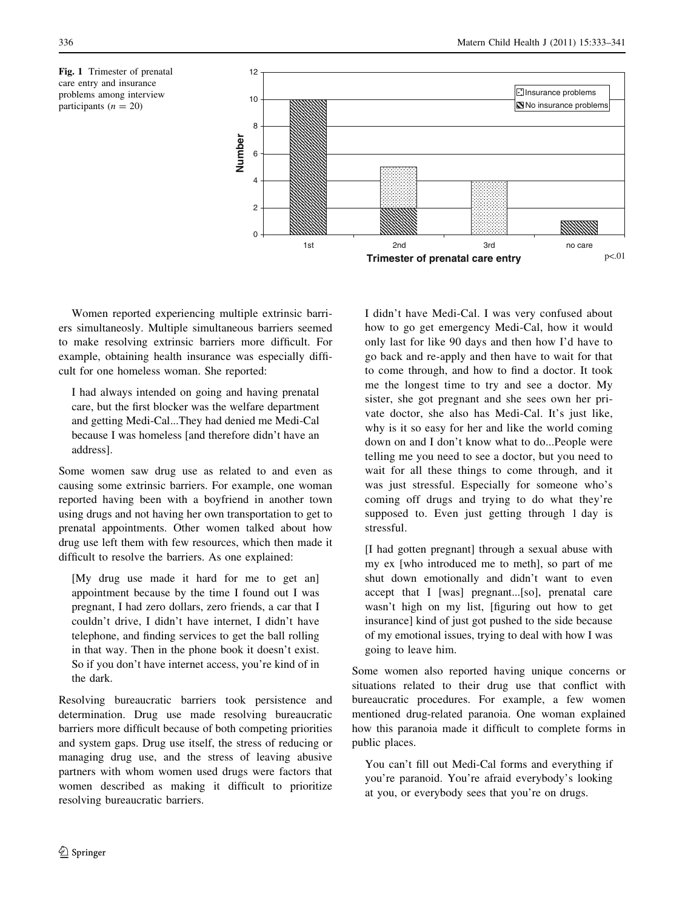<span id="page-3-0"></span>



Women reported experiencing multiple extrinsic barriers simultaneosly. Multiple simultaneous barriers seemed to make resolving extrinsic barriers more difficult. For example, obtaining health insurance was especially difficult for one homeless woman. She reported:

I had always intended on going and having prenatal care, but the first blocker was the welfare department and getting Medi-Cal...They had denied me Medi-Cal because I was homeless [and therefore didn't have an address].

Some women saw drug use as related to and even as causing some extrinsic barriers. For example, one woman reported having been with a boyfriend in another town using drugs and not having her own transportation to get to prenatal appointments. Other women talked about how drug use left them with few resources, which then made it difficult to resolve the barriers. As one explained:

[My drug use made it hard for me to get an] appointment because by the time I found out I was pregnant, I had zero dollars, zero friends, a car that I couldn't drive, I didn't have internet, I didn't have telephone, and finding services to get the ball rolling in that way. Then in the phone book it doesn't exist. So if you don't have internet access, you're kind of in the dark.

Resolving bureaucratic barriers took persistence and determination. Drug use made resolving bureaucratic barriers more difficult because of both competing priorities and system gaps. Drug use itself, the stress of reducing or managing drug use, and the stress of leaving abusive partners with whom women used drugs were factors that women described as making it difficult to prioritize resolving bureaucratic barriers.

I didn't have Medi-Cal. I was very confused about how to go get emergency Medi-Cal, how it would only last for like 90 days and then how I'd have to go back and re-apply and then have to wait for that to come through, and how to find a doctor. It took me the longest time to try and see a doctor. My sister, she got pregnant and she sees own her private doctor, she also has Medi-Cal. It's just like, why is it so easy for her and like the world coming down on and I don't know what to do...People were telling me you need to see a doctor, but you need to wait for all these things to come through, and it was just stressful. Especially for someone who's coming off drugs and trying to do what they're supposed to. Even just getting through 1 day is stressful.

[I had gotten pregnant] through a sexual abuse with my ex [who introduced me to meth], so part of me shut down emotionally and didn't want to even accept that I [was] pregnant...[so], prenatal care wasn't high on my list, [figuring out how to get insurance] kind of just got pushed to the side because of my emotional issues, trying to deal with how I was going to leave him.

Some women also reported having unique concerns or situations related to their drug use that conflict with bureaucratic procedures. For example, a few women mentioned drug-related paranoia. One woman explained how this paranoia made it difficult to complete forms in public places.

You can't fill out Medi-Cal forms and everything if you're paranoid. You're afraid everybody's looking at you, or everybody sees that you're on drugs.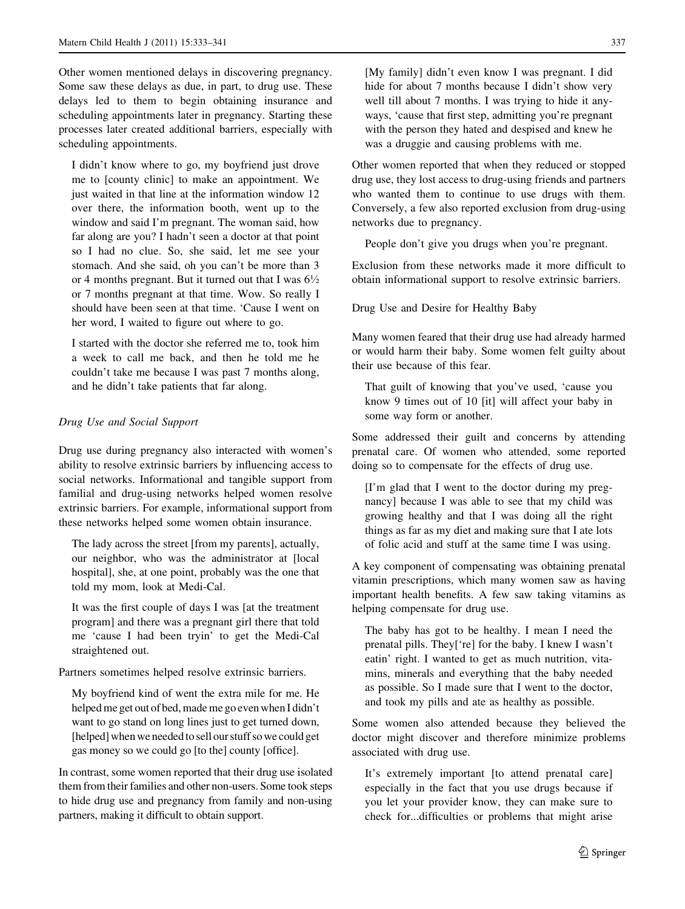Other women mentioned delays in discovering pregnancy. Some saw these delays as due, in part, to drug use. These delays led to them to begin obtaining insurance and scheduling appointments later in pregnancy. Starting these processes later created additional barriers, especially with scheduling appointments.

I didn't know where to go, my boyfriend just drove me to [county clinic] to make an appointment. We just waited in that line at the information window 12 over there, the information booth, went up to the window and said I'm pregnant. The woman said, how far along are you? I hadn't seen a doctor at that point so I had no clue. So, she said, let me see your stomach. And she said, oh you can't be more than 3 or 4 months pregnant. But it turned out that I was  $6\frac{1}{2}$ or 7 months pregnant at that time. Wow. So really I should have been seen at that time. 'Cause I went on her word, I waited to figure out where to go.

I started with the doctor she referred me to, took him a week to call me back, and then he told me he couldn't take me because I was past 7 months along, and he didn't take patients that far along.

# Drug Use and Social Support

Drug use during pregnancy also interacted with women's ability to resolve extrinsic barriers by influencing access to social networks. Informational and tangible support from familial and drug-using networks helped women resolve extrinsic barriers. For example, informational support from these networks helped some women obtain insurance.

The lady across the street [from my parents], actually, our neighbor, who was the administrator at [local hospital], she, at one point, probably was the one that told my mom, look at Medi-Cal.

It was the first couple of days I was [at the treatment program] and there was a pregnant girl there that told me 'cause I had been tryin' to get the Medi-Cal straightened out.

Partners sometimes helped resolve extrinsic barriers.

My boyfriend kind of went the extra mile for me. He helped me get out of bed, made me go even when I didn't want to go stand on long lines just to get turned down, [helped] when we needed to sell our stuff so we could get gas money so we could go [to the] county [office].

In contrast, some women reported that their drug use isolated them from their families and other non-users. Some took steps to hide drug use and pregnancy from family and non-using partners, making it difficult to obtain support.

[My family] didn't even know I was pregnant. I did hide for about 7 months because I didn't show very well till about 7 months. I was trying to hide it anyways, 'cause that first step, admitting you're pregnant with the person they hated and despised and knew he was a druggie and causing problems with me.

Other women reported that when they reduced or stopped drug use, they lost access to drug-using friends and partners who wanted them to continue to use drugs with them. Conversely, a few also reported exclusion from drug-using networks due to pregnancy.

People don't give you drugs when you're pregnant.

Exclusion from these networks made it more difficult to obtain informational support to resolve extrinsic barriers.

Drug Use and Desire for Healthy Baby

Many women feared that their drug use had already harmed or would harm their baby. Some women felt guilty about their use because of this fear.

That guilt of knowing that you've used, 'cause you know 9 times out of 10 [it] will affect your baby in some way form or another.

Some addressed their guilt and concerns by attending prenatal care. Of women who attended, some reported doing so to compensate for the effects of drug use.

[I'm glad that I went to the doctor during my pregnancy] because I was able to see that my child was growing healthy and that I was doing all the right things as far as my diet and making sure that I ate lots of folic acid and stuff at the same time I was using.

A key component of compensating was obtaining prenatal vitamin prescriptions, which many women saw as having important health benefits. A few saw taking vitamins as helping compensate for drug use.

The baby has got to be healthy. I mean I need the prenatal pills. They['re] for the baby. I knew I wasn't eatin' right. I wanted to get as much nutrition, vitamins, minerals and everything that the baby needed as possible. So I made sure that I went to the doctor, and took my pills and ate as healthy as possible.

Some women also attended because they believed the doctor might discover and therefore minimize problems associated with drug use.

It's extremely important [to attend prenatal care] especially in the fact that you use drugs because if you let your provider know, they can make sure to check for...difficulties or problems that might arise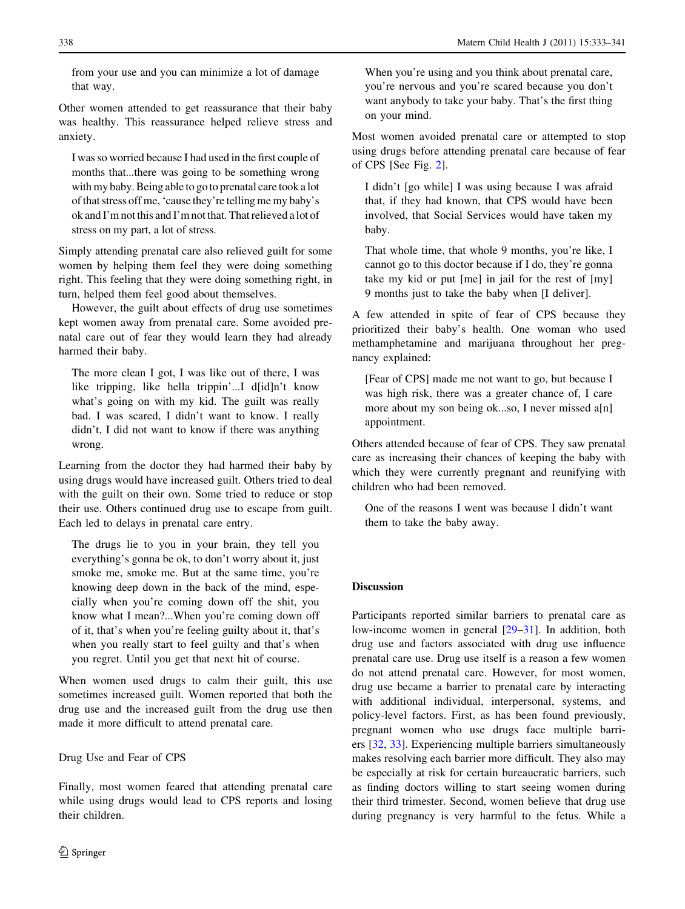from your use and you can minimize a lot of damage that way.

Other women attended to get reassurance that their baby was healthy. This reassurance helped relieve stress and anxiety.

I was so worried because I had used in the first couple of months that...there was going to be something wrong with my baby. Being able to go to prenatal care took a lot of that stress off me, 'cause they're telling me my baby's ok and I'm not this and I'm not that. That relieved a lot of stress on my part, a lot of stress.

Simply attending prenatal care also relieved guilt for some women by helping them feel they were doing something right. This feeling that they were doing something right, in turn, helped them feel good about themselves.

However, the guilt about effects of drug use sometimes kept women away from prenatal care. Some avoided prenatal care out of fear they would learn they had already harmed their baby.

The more clean I got, I was like out of there, I was like tripping, like hella trippin'...I d[id]n't know what's going on with my kid. The guilt was really bad. I was scared, I didn't want to know. I really didn't, I did not want to know if there was anything wrong.

Learning from the doctor they had harmed their baby by using drugs would have increased guilt. Others tried to deal with the guilt on their own. Some tried to reduce or stop their use. Others continued drug use to escape from guilt. Each led to delays in prenatal care entry.

The drugs lie to you in your brain, they tell you everything's gonna be ok, to don't worry about it, just smoke me, smoke me. But at the same time, you're knowing deep down in the back of the mind, especially when you're coming down off the shit, you know what I mean?...When you're coming down off of it, that's when you're feeling guilty about it, that's when you really start to feel guilty and that's when you regret. Until you get that next hit of course.

When women used drugs to calm their guilt, this use sometimes increased guilt. Women reported that both the drug use and the increased guilt from the drug use then made it more difficult to attend prenatal care.

# Drug Use and Fear of CPS

Finally, most women feared that attending prenatal care while using drugs would lead to CPS reports and losing their children.

When you're using and you think about prenatal care, you're nervous and you're scared because you don't want anybody to take your baby. That's the first thing on your mind.

Most women avoided prenatal care or attempted to stop using drugs before attending prenatal care because of fear of CPS [See Fig. [2\]](#page-6-0).

I didn't [go while] I was using because I was afraid that, if they had known, that CPS would have been involved, that Social Services would have taken my baby.

That whole time, that whole 9 months, you're like, I cannot go to this doctor because if I do, they're gonna take my kid or put [me] in jail for the rest of [my] 9 months just to take the baby when [I deliver].

A few attended in spite of fear of CPS because they prioritized their baby's health. One woman who used methamphetamine and marijuana throughout her pregnancy explained:

[Fear of CPS] made me not want to go, but because I was high risk, there was a greater chance of, I care more about my son being ok...so, I never missed a[n] appointment.

Others attended because of fear of CPS. They saw prenatal care as increasing their chances of keeping the baby with which they were currently pregnant and reunifying with children who had been removed.

One of the reasons I went was because I didn't want them to take the baby away.

# Discussion

Participants reported similar barriers to prenatal care as low-income women in general [\[29](#page-7-0)[–31\]](#page-8-0). In addition, both drug use and factors associated with drug use influence prenatal care use. Drug use itself is a reason a few women do not attend prenatal care. However, for most women, drug use became a barrier to prenatal care by interacting with additional individual, interpersonal, systems, and policy-level factors. First, as has been found previously, pregnant women who use drugs face multiple barriers [[32,](#page-8-0) [33](#page-8-0)]. Experiencing multiple barriers simultaneously makes resolving each barrier more difficult. They also may be especially at risk for certain bureaucratic barriers, such as finding doctors willing to start seeing women during their third trimester. Second, women believe that drug use during pregnancy is very harmful to the fetus. While a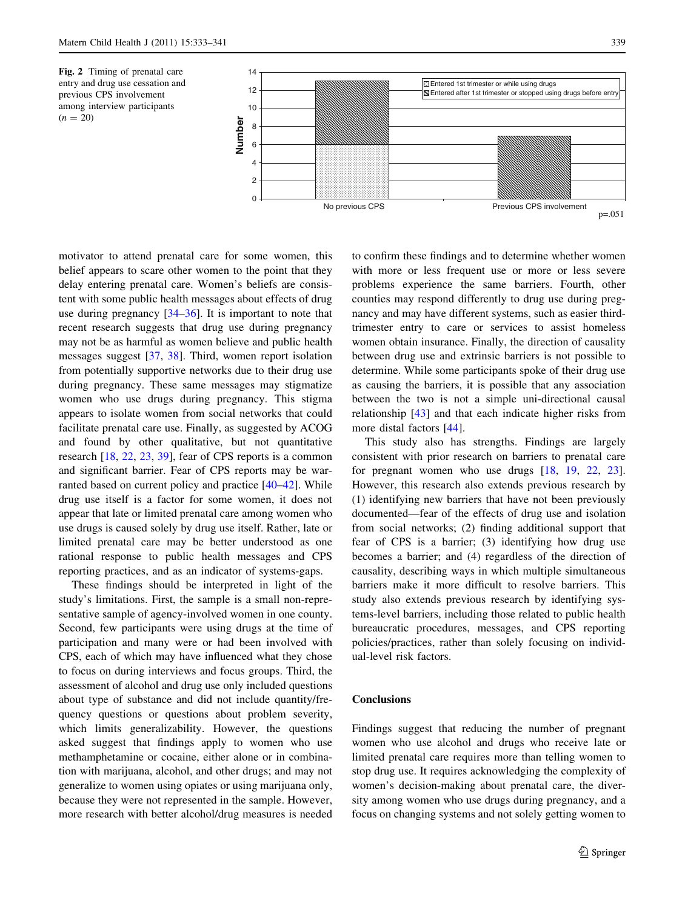<span id="page-6-0"></span>



motivator to attend prenatal care for some women, this belief appears to scare other women to the point that they delay entering prenatal care. Women's beliefs are consistent with some public health messages about effects of drug use during pregnancy [[34–36\]](#page-8-0). It is important to note that recent research suggests that drug use during pregnancy may not be as harmful as women believe and public health messages suggest [[37,](#page-8-0) [38\]](#page-8-0). Third, women report isolation from potentially supportive networks due to their drug use during pregnancy. These same messages may stigmatize women who use drugs during pregnancy. This stigma appears to isolate women from social networks that could facilitate prenatal care use. Finally, as suggested by ACOG and found by other qualitative, but not quantitative research [[18,](#page-7-0) [22](#page-7-0), [23,](#page-7-0) [39](#page-8-0)], fear of CPS reports is a common and significant barrier. Fear of CPS reports may be warranted based on current policy and practice [\[40–42](#page-8-0)]. While drug use itself is a factor for some women, it does not appear that late or limited prenatal care among women who use drugs is caused solely by drug use itself. Rather, late or limited prenatal care may be better understood as one rational response to public health messages and CPS reporting practices, and as an indicator of systems-gaps.

These findings should be interpreted in light of the study's limitations. First, the sample is a small non-representative sample of agency-involved women in one county. Second, few participants were using drugs at the time of participation and many were or had been involved with CPS, each of which may have influenced what they chose to focus on during interviews and focus groups. Third, the assessment of alcohol and drug use only included questions about type of substance and did not include quantity/frequency questions or questions about problem severity, which limits generalizability. However, the questions asked suggest that findings apply to women who use methamphetamine or cocaine, either alone or in combination with marijuana, alcohol, and other drugs; and may not generalize to women using opiates or using marijuana only, because they were not represented in the sample. However, more research with better alcohol/drug measures is needed to confirm these findings and to determine whether women with more or less frequent use or more or less severe problems experience the same barriers. Fourth, other counties may respond differently to drug use during pregnancy and may have different systems, such as easier thirdtrimester entry to care or services to assist homeless women obtain insurance. Finally, the direction of causality between drug use and extrinsic barriers is not possible to determine. While some participants spoke of their drug use as causing the barriers, it is possible that any association between the two is not a simple uni-directional causal relationship [[43\]](#page-8-0) and that each indicate higher risks from more distal factors [[44\]](#page-8-0).

This study also has strengths. Findings are largely consistent with prior research on barriers to prenatal care for pregnant women who use drugs [\[18](#page-7-0), [19,](#page-7-0) [22](#page-7-0), [23](#page-7-0)]. However, this research also extends previous research by (1) identifying new barriers that have not been previously documented—fear of the effects of drug use and isolation from social networks; (2) finding additional support that fear of CPS is a barrier; (3) identifying how drug use becomes a barrier; and (4) regardless of the direction of causality, describing ways in which multiple simultaneous barriers make it more difficult to resolve barriers. This study also extends previous research by identifying systems-level barriers, including those related to public health bureaucratic procedures, messages, and CPS reporting policies/practices, rather than solely focusing on individual-level risk factors.

## **Conclusions**

Findings suggest that reducing the number of pregnant women who use alcohol and drugs who receive late or limited prenatal care requires more than telling women to stop drug use. It requires acknowledging the complexity of women's decision-making about prenatal care, the diversity among women who use drugs during pregnancy, and a focus on changing systems and not solely getting women to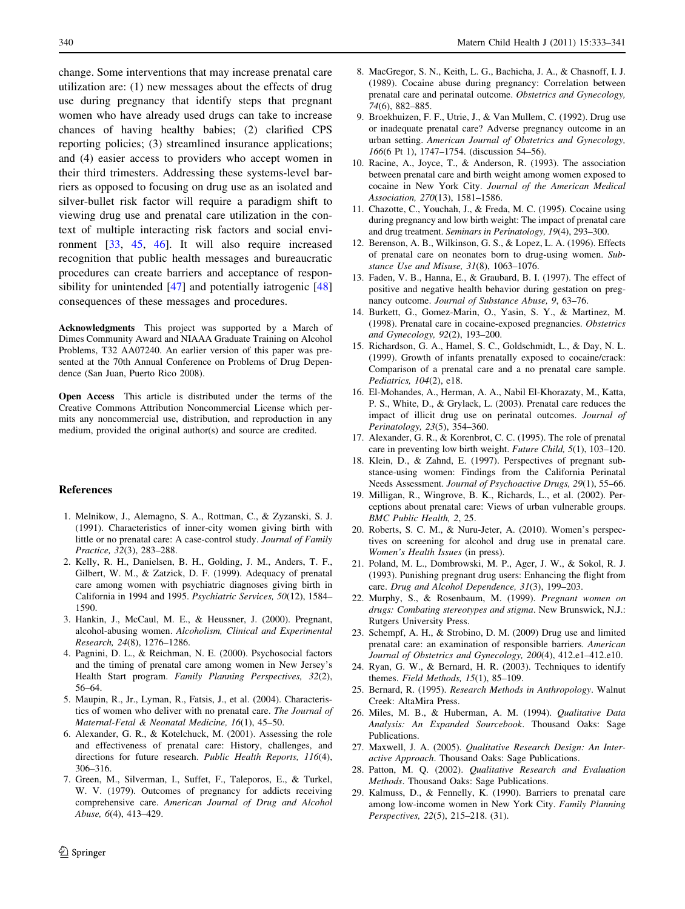<span id="page-7-0"></span>change. Some interventions that may increase prenatal care utilization are: (1) new messages about the effects of drug use during pregnancy that identify steps that pregnant women who have already used drugs can take to increase chances of having healthy babies; (2) clarified CPS reporting policies; (3) streamlined insurance applications; and (4) easier access to providers who accept women in their third trimesters. Addressing these systems-level barriers as opposed to focusing on drug use as an isolated and silver-bullet risk factor will require a paradigm shift to viewing drug use and prenatal care utilization in the context of multiple interacting risk factors and social environment [[33,](#page-8-0) [45](#page-8-0), [46\]](#page-8-0). It will also require increased recognition that public health messages and bureaucratic procedures can create barriers and acceptance of responsibility for unintended [\[47](#page-8-0)] and potentially iatrogenic [[48\]](#page-8-0) consequences of these messages and procedures.

Acknowledgments This project was supported by a March of Dimes Community Award and NIAAA Graduate Training on Alcohol Problems, T32 AA07240. An earlier version of this paper was presented at the 70th Annual Conference on Problems of Drug Dependence (San Juan, Puerto Rico 2008).

Open Access This article is distributed under the terms of the Creative Commons Attribution Noncommercial License which permits any noncommercial use, distribution, and reproduction in any medium, provided the original author(s) and source are credited.

## References

- 1. Melnikow, J., Alemagno, S. A., Rottman, C., & Zyzanski, S. J. (1991). Characteristics of inner-city women giving birth with little or no prenatal care: A case-control study. Journal of Family Practice, 32(3), 283–288.
- 2. Kelly, R. H., Danielsen, B. H., Golding, J. M., Anders, T. F., Gilbert, W. M., & Zatzick, D. F. (1999). Adequacy of prenatal care among women with psychiatric diagnoses giving birth in California in 1994 and 1995. Psychiatric Services, 50(12), 1584– 1590.
- 3. Hankin, J., McCaul, M. E., & Heussner, J. (2000). Pregnant, alcohol-abusing women. Alcoholism, Clinical and Experimental Research, 24(8), 1276–1286.
- 4. Pagnini, D. L., & Reichman, N. E. (2000). Psychosocial factors and the timing of prenatal care among women in New Jersey's Health Start program. Family Planning Perspectives, 32(2), 56–64.
- 5. Maupin, R., Jr., Lyman, R., Fatsis, J., et al. (2004). Characteristics of women who deliver with no prenatal care. The Journal of Maternal-Fetal & Neonatal Medicine, 16(1), 45–50.
- 6. Alexander, G. R., & Kotelchuck, M. (2001). Assessing the role and effectiveness of prenatal care: History, challenges, and directions for future research. Public Health Reports, 116(4), 306–316.
- 7. Green, M., Silverman, I., Suffet, F., Taleporos, E., & Turkel, W. V. (1979). Outcomes of pregnancy for addicts receiving comprehensive care. American Journal of Drug and Alcohol Abuse, 6(4), 413–429.
- 8. MacGregor, S. N., Keith, L. G., Bachicha, J. A., & Chasnoff, I. J. (1989). Cocaine abuse during pregnancy: Correlation between prenatal care and perinatal outcome. Obstetrics and Gynecology, 74(6), 882–885.
- 9. Broekhuizen, F. F., Utrie, J., & Van Mullem, C. (1992). Drug use or inadequate prenatal care? Adverse pregnancy outcome in an urban setting. American Journal of Obstetrics and Gynecology, 166(6 Pt 1), 1747–1754. (discussion 54–56).
- 10. Racine, A., Joyce, T., & Anderson, R. (1993). The association between prenatal care and birth weight among women exposed to cocaine in New York City. Journal of the American Medical Association, 270(13), 1581–1586.
- 11. Chazotte, C., Youchah, J., & Freda, M. C. (1995). Cocaine using during pregnancy and low birth weight: The impact of prenatal care and drug treatment. Seminars in Perinatology, 19(4), 293–300.
- 12. Berenson, A. B., Wilkinson, G. S., & Lopez, L. A. (1996). Effects of prenatal care on neonates born to drug-using women. Substance Use and Misuse, 31(8), 1063–1076.
- 13. Faden, V. B., Hanna, E., & Graubard, B. I. (1997). The effect of positive and negative health behavior during gestation on pregnancy outcome. Journal of Substance Abuse, 9, 63–76.
- 14. Burkett, G., Gomez-Marin, O., Yasin, S. Y., & Martinez, M. (1998). Prenatal care in cocaine-exposed pregnancies. Obstetrics and Gynecology, 92(2), 193–200.
- 15. Richardson, G. A., Hamel, S. C., Goldschmidt, L., & Day, N. L. (1999). Growth of infants prenatally exposed to cocaine/crack: Comparison of a prenatal care and a no prenatal care sample. Pediatrics, 104(2), e18.
- 16. El-Mohandes, A., Herman, A. A., Nabil El-Khorazaty, M., Katta, P. S., White, D., & Grylack, L. (2003). Prenatal care reduces the impact of illicit drug use on perinatal outcomes. Journal of Perinatology, 23(5), 354–360.
- 17. Alexander, G. R., & Korenbrot, C. C. (1995). The role of prenatal care in preventing low birth weight. Future Child, 5(1), 103–120.
- 18. Klein, D., & Zahnd, E. (1997). Perspectives of pregnant substance-using women: Findings from the California Perinatal Needs Assessment. Journal of Psychoactive Drugs, 29(1), 55–66.
- 19. Milligan, R., Wingrove, B. K., Richards, L., et al. (2002). Perceptions about prenatal care: Views of urban vulnerable groups. BMC Public Health, 2, 25.
- 20. Roberts, S. C. M., & Nuru-Jeter, A. (2010). Women's perspectives on screening for alcohol and drug use in prenatal care. Women's Health Issues (in press).
- 21. Poland, M. L., Dombrowski, M. P., Ager, J. W., & Sokol, R. J. (1993). Punishing pregnant drug users: Enhancing the flight from care. Drug and Alcohol Dependence, 31(3), 199–203.
- 22. Murphy, S., & Rosenbaum, M. (1999). Pregnant women on drugs: Combating stereotypes and stigma. New Brunswick, N.J.: Rutgers University Press.
- 23. Schempf, A. H., & Strobino, D. M. (2009) Drug use and limited prenatal care: an examination of responsible barriers. American Journal of Obstetrics and Gynecology, 200(4), 412.e1–412.e10.
- 24. Ryan, G. W., & Bernard, H. R. (2003). Techniques to identify themes. Field Methods, 15(1), 85-109.
- 25. Bernard, R. (1995). Research Methods in Anthropology. Walnut Creek: AltaMira Press.
- 26. Miles, M. B., & Huberman, A. M. (1994). Qualitative Data Analysis: An Expanded Sourcebook. Thousand Oaks: Sage Publications.
- 27. Maxwell, J. A. (2005). Qualitative Research Design: An Interactive Approach. Thousand Oaks: Sage Publications.
- 28. Patton, M. Q. (2002). Qualitative Research and Evaluation Methods. Thousand Oaks: Sage Publications.
- 29. Kalmuss, D., & Fennelly, K. (1990). Barriers to prenatal care among low-income women in New York City. Family Planning Perspectives, 22(5), 215–218. (31).